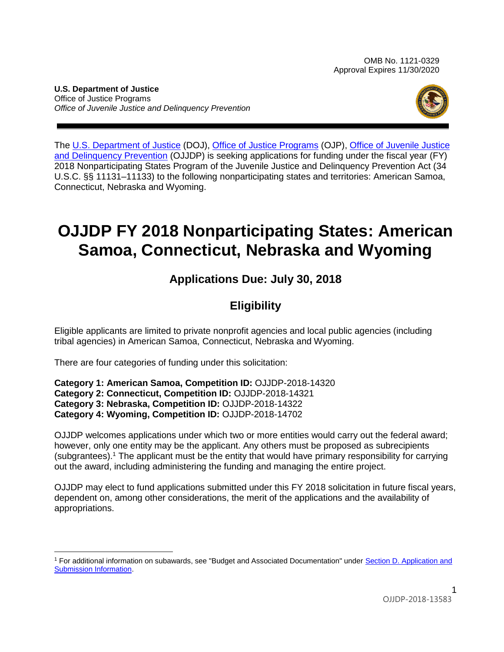OMB No. 1121-0329 Approval Expires 11/30/2020

**U.S. Department of Justice** Office of Justice Programs *Office of Juvenile Justice and Delinquency Prevention*



The [U.S. Department of Justice](https://www.usdoj.gov/) (DOJ), [Office of Justice Programs](https://ojp.gov/) (OJP), [Office of Juvenile Justice](https://www.ojjdp.gov/)  [and Delinquency Prevention](https://www.ojjdp.gov/) (OJJDP) is seeking applications for funding under the fiscal year (FY) 2018 Nonparticipating States Program of the Juvenile Justice and Delinquency Prevention Act (34 U.S.C. §§ 11131–11133) to the following nonparticipating states and territories: American Samoa, Connecticut, Nebraska and Wyoming.

# **OJJDP FY 2018 Nonparticipating States: American Samoa, Connecticut, Nebraska and Wyoming**

# **Applications Due: July 30, 2018**

# **Eligibility**

Eligible applicants are limited to private nonprofit agencies and local public agencies (including tribal agencies) in American Samoa, Connecticut, Nebraska and Wyoming.

There are four categories of funding under this solicitation:

**Category 1: American Samoa, Competition ID:** OJJDP-2018-14320 **Category 2: Connecticut, Competition ID:** OJJDP-2018-14321 **Category 3: Nebraska, Competition ID:** OJJDP-2018-14322 **Category 4: Wyoming, Competition ID:** OJJDP-2018-14702

OJJDP welcomes applications under which two or more entities would carry out the federal award; however, only one entity may be the applicant. Any others must be proposed as subrecipients (subgrantees).<sup>1</sup> The applicant must be the entity that would have primary responsibility for carrying out the award, including administering the funding and managing the entire project.

OJJDP may elect to fund applications submitted under this FY 2018 solicitation in future fiscal years, dependent on, among other considerations, the merit of the applications and the availability of appropriations.

<sup>1</sup> For additional information on subawards, see "Budget and Associated Documentation" under [Section D. Application and](#page-8-0)  [Submission Information](#page-8-0).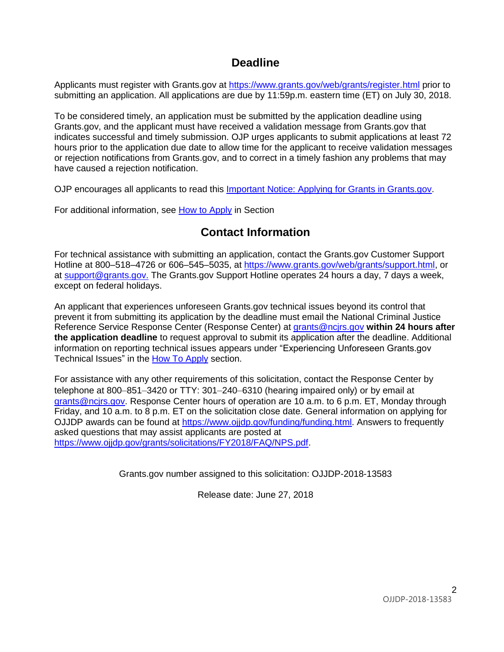## **Deadline**

Applicants must register with Grants.gov at <https://www.grants.gov/web/grants/register.html> prior to submitting an application. All applications are due by 11:59p.m. eastern time (ET) on July 30, 2018.

To be considered timely, an application must be submitted by the application deadline using Grants.gov, and the applicant must have received a validation message from Grants.gov that indicates successful and timely submission. OJP urges applicants to submit applications at least 72 hours prior to the application due date to allow time for the applicant to receive validation messages or rejection notifications from Grants.gov, and to correct in a timely fashion any problems that may have caused a rejection notification.

OJP encourages all applicants to read this [Important Notice: Applying for Grants in Grants.gov.](https://ojp.gov/funding/Apply/Grants-govInfo.htm)

For additional information, see How [to Apply](#page-19-0) in Section

## **Contact Information**

For technical assistance with submitting an application, contact the Grants.gov Customer Support Hotline at 800–518–4726 or 606–545–5035, at [https://www.grants.gov/web/grants/support.html,](https://www.grants.gov/web/grants/support.html) or at [support@grants.gov.](mailto:support@grants.gov) The Grants.gov Support Hotline operates 24 hours a day, 7 days a week, except on federal holidays.

An applicant that experiences unforeseen Grants.gov technical issues beyond its control that prevent it from submitting its application by the deadline must email the National Criminal Justice Reference Service Response Center (Response Center) at [grants@ncjrs.gov](mailto:grants@ncjrs.gov) **within 24 hours after the application deadline** to request approval to submit its application after the deadline. Additional information on reporting technical issues appears under "Experiencing Unforeseen Grants.gov Technical Issues" in the [How To Apply](#page-19-0) section.

For assistance with any other requirements of this solicitation, contact the Response Center by telephone at 800–851–3420 or TTY: 301–240–6310 (hearing impaired only) or by email at [grants@ncjrs.gov.](mailto:grants@ncjrs.gov) Response Center hours of operation are 10 a.m. to 6 p.m. ET, Monday through Friday, and 10 a.m. to 8 p.m. ET on the solicitation close date. General information on applying for OJJDP awards can be found at [https://www.ojjdp.gov/funding/funding.html.](https://www.ojjdp.gov/funding/funding.html) Answers to frequently asked questions that may assist applicants are posted at <https://www.ojjdp.gov/grants/solicitations/FY2018/FAQ/NPS.pdf>.

Grants.gov number assigned to this solicitation: OJJDP-2018-13583

Release date: June 27, 2018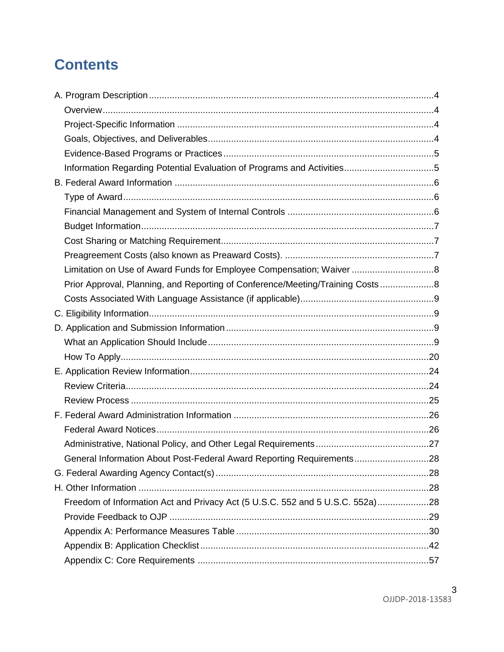# **Contents**

| Limitation on Use of Award Funds for Employee Compensation; Waiver 8          |  |
|-------------------------------------------------------------------------------|--|
| Prior Approval, Planning, and Reporting of Conference/Meeting/Training Costs8 |  |
|                                                                               |  |
|                                                                               |  |
|                                                                               |  |
|                                                                               |  |
|                                                                               |  |
|                                                                               |  |
|                                                                               |  |
|                                                                               |  |
|                                                                               |  |
|                                                                               |  |
|                                                                               |  |
| General Information About Post-Federal Award Reporting Requirements28         |  |
|                                                                               |  |
|                                                                               |  |
| Freedom of Information Act and Privacy Act (5 U.S.C. 552 and 5 U.S.C. 552a)28 |  |
|                                                                               |  |
|                                                                               |  |
|                                                                               |  |
|                                                                               |  |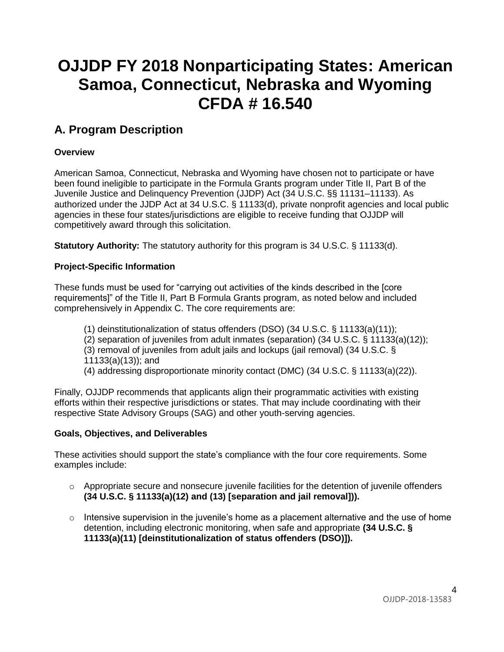# **OJJDP FY 2018 Nonparticipating States: American Samoa, Connecticut, Nebraska and Wyoming CFDA # 16.540**

# <span id="page-3-0"></span>**A. Program Description**

### <span id="page-3-1"></span>**Overview**

American Samoa, Connecticut, Nebraska and Wyoming have chosen not to participate or have been found ineligible to participate in the Formula Grants program under Title II, Part B of the Juvenile Justice and Delinquency Prevention (JJDP) Act (34 U.S.C. §§ 11131–11133). As authorized under the JJDP Act at 34 U.S.C. § 11133(d), private nonprofit agencies and local public agencies in these four states/jurisdictions are eligible to receive funding that OJJDP will competitively award through this solicitation.

**Statutory Authority:** The statutory authority for this program is 34 U.S.C. § 11133(d).

### <span id="page-3-2"></span>**Project-Specific Information**

These funds must be used for "carrying out activities of the kinds described in the [core requirements]" of the Title II, Part B Formula Grants program, as noted below and included comprehensively in Appendix C. The core requirements are:

- (1) deinstitutionalization of status offenders (DSO) (34 U.S.C. § 11133(a)(11));
- $(2)$  separation of juveniles from adult inmates (separation) (34 U.S.C. § 11133(a)(12));
- (3) removal of juveniles from adult jails and lockups (jail removal) (34 U.S.C. § 11133(a)(13)); and
- (4) addressing disproportionate minority contact (DMC) (34 U.S.C. § 11133(a)(22)).

Finally, OJJDP recommends that applicants align their programmatic activities with existing efforts within their respective jurisdictions or states. That may include coordinating with their respective State Advisory Groups (SAG) and other youth-serving agencies.

### <span id="page-3-3"></span>**Goals, Objectives, and Deliverables**

These activities should support the state's compliance with the four core requirements. Some examples include:

- $\circ$  Appropriate secure and nonsecure juvenile facilities for the detention of juvenile offenders **(34 U.S.C. § 11133(a)(12) and (13) [separation and jail removal])).**
- $\circ$  Intensive supervision in the juvenile's home as a placement alternative and the use of home detention, including electronic monitoring, when safe and appropriate **(34 U.S.C. § 11133(a)(11) [deinstitutionalization of status offenders (DSO)]).**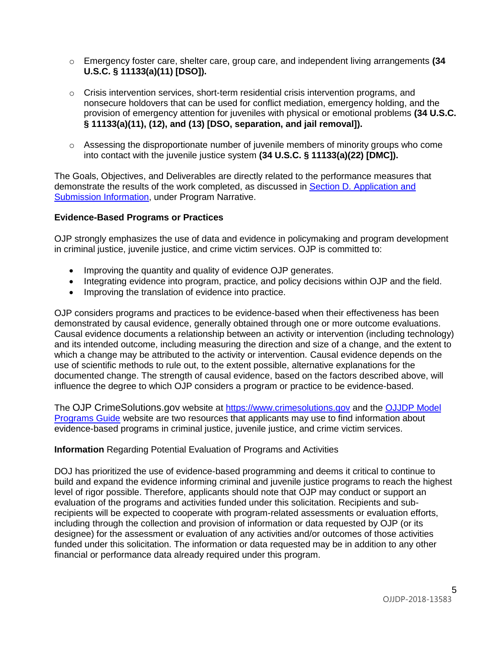- o Emergency foster care, shelter care, group care, and independent living arrangements **(34 U.S.C. § 11133(a)(11) [DSO]).**
- $\circ$  Crisis intervention services, short-term residential crisis intervention programs, and nonsecure holdovers that can be used for conflict mediation, emergency holding, and the provision of emergency attention for juveniles with physical or emotional problems **(34 U.S.C. § 11133(a)(11), (12), and (13) [DSO, separation, and jail removal]).**
- o Assessing the disproportionate number of juvenile members of minority groups who come into contact with the juvenile justice system **(34 U.S.C. § 11133(a)(22) [DMC]).**

The Goals, Objectives, and Deliverables are directly related to the performance measures that demonstrate the results of the work completed, as discussed in Section D. [Application and](#page-8-0) Submission [Information,](#page-8-0) under Program Narrative.

### <span id="page-4-0"></span>**Evidence-Based Programs or Practices**

OJP strongly emphasizes the use of data and evidence in policymaking and program development in criminal justice, juvenile justice, and crime victim services. OJP is committed to:

- Improving the quantity and quality of evidence OJP generates.
- Integrating evidence into program, practice, and policy decisions within OJP and the field.
- Improving the translation of evidence into practice.

OJP considers programs and practices to be evidence-based when their effectiveness has been demonstrated by causal evidence, generally obtained through one or more outcome evaluations. Causal evidence documents a relationship between an activity or intervention (including technology) and its intended outcome, including measuring the direction and size of a change, and the extent to which a change may be attributed to the activity or intervention. Causal evidence depends on the use of scientific methods to rule out, to the extent possible, alternative explanations for the documented change. The strength of causal evidence, based on the factors described above, will influence the degree to which OJP considers a program or practice to be evidence-based.

The OJP CrimeSolutions.gov website at [https://www.crimesolutions.gov](https://www.crimesolutions.gov/) and the [OJJDP](http://www.ojjdp.gov/mpg) Model [Programs Guide](http://www.ojjdp.gov/mpg) website are two resources that applicants may use to find information about evidence-based programs in criminal justice, juvenile justice, and crime victim services.

### <span id="page-4-1"></span>**Information** Regarding Potential Evaluation of Programs and Activities

DOJ has prioritized the use of evidence-based programming and deems it critical to continue to build and expand the evidence informing criminal and juvenile justice programs to reach the highest level of rigor possible. Therefore, applicants should note that OJP may conduct or support an evaluation of the programs and activities funded under this solicitation. Recipients and subrecipients will be expected to cooperate with program-related assessments or evaluation efforts, including through the collection and provision of information or data requested by OJP (or its designee) for the assessment or evaluation of any activities and/or outcomes of those activities funded under this solicitation. The information or data requested may be in addition to any other financial or performance data already required under this program.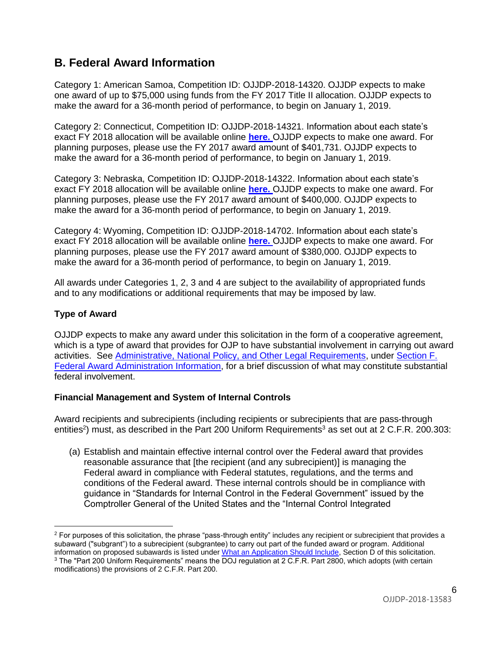# <span id="page-5-0"></span>**B. Federal Award Information**

Category 1: American Samoa, Competition ID: OJJDP-2018-14320. OJJDP expects to make one award of up to \$75,000 using funds from the FY 2017 Title II allocation. OJJDP expects to make the award for a 36-month period of performance, to begin on January 1, 2019.

Category 2: Connecticut, Competition ID: OJJDP-2018-14321. Information about each state's exact FY 2018 allocation will be available online **[here.](https://www.ojjdp.gov/programs/TitleIIAllocations-grantawards.html)** OJJDP expects to make one award. For planning purposes, please use the FY 2017 award amount of \$401,731. OJJDP expects to make the award for a 36-month period of performance, to begin on January 1, 2019.

Category 3: Nebraska, Competition ID: OJJDP-2018-14322. Information about each state's exact FY 2018 allocation will be available online **[here.](https://www.ojjdp.gov/programs/TitleIIAllocations-grantawards.html)** OJJDP expects to make one award. For planning purposes, please use the FY 2017 award amount of \$400,000. OJJDP expects to make the award for a 36-month period of performance, to begin on January 1, 2019.

Category 4: Wyoming, Competition ID: OJJDP-2018-14702. Information about each state's exact FY 2018 allocation will be available online **[here.](https://www.ojjdp.gov/programs/TitleIIAllocations-grantawards.html)** OJJDP expects to make one award. For planning purposes, please use the FY 2017 award amount of \$380,000. OJJDP expects to make the award for a 36-month period of performance, to begin on January 1, 2019.

All awards under Categories 1, 2, 3 and 4 are subject to the availability of appropriated funds and to any modifications or additional requirements that may be imposed by law.

### <span id="page-5-1"></span>**Type of Award**

OJJDP expects to make any award under this solicitation in the form of a cooperative agreement, which is a type of award that provides for OJP to have substantial involvement in carrying out award activities. See [Administrative, National Policy, and Other Legal Requirements,](#page-25-0) under [Section F.](#page-25-0)  [Federal Award Administration Information,](#page-25-0) for a brief discussion of what may constitute substantial federal involvement.

### <span id="page-5-2"></span>**Financial Management and System of Internal Controls**

Award recipients and subrecipients (including recipients or subrecipients that are pass-through entities<sup>2</sup>) must, as described in the Part 200 Uniform Requirements<sup>3</sup> as set out at 2 C.F.R. 200.303:

(a) Establish and maintain effective internal control over the Federal award that provides reasonable assurance that [the recipient (and any subrecipient)] is managing the Federal award in compliance with Federal statutes, regulations, and the terms and conditions of the Federal award. These internal controls should be in compliance with guidance in "Standards for Internal Control in the Federal Government" issued by the Comptroller General of the United States and the "Internal Control Integrated

 $2$  For purposes of this solicitation, the phrase "pass-through entity" includes any recipient or subrecipient that provides a subaward ("subgrant") to a subrecipient (subgrantee) to carry out part of the funded award or program. Additional information on proposed subawards is listed unde[r What an Application Should Include,](#page-8-3) Section D of this solicitation. <sup>3</sup> The "Part 200 Uniform Requirements" means the DOJ regulation at 2 C.F.R. Part 2800, which adopts (with certain modifications) the provisions of 2 C.F.R. Part 200.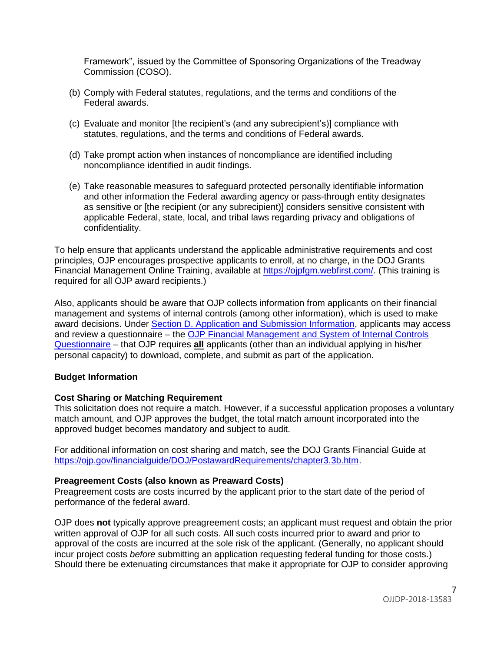Framework", issued by the Committee of Sponsoring Organizations of the Treadway Commission (COSO).

- (b) Comply with Federal statutes, regulations, and the terms and conditions of the Federal awards.
- (c) Evaluate and monitor [the recipient's (and any subrecipient's)] compliance with statutes, regulations, and the terms and conditions of Federal awards.
- (d) Take prompt action when instances of noncompliance are identified including noncompliance identified in audit findings.
- (e) Take reasonable measures to safeguard protected personally identifiable information and other information the Federal awarding agency or pass-through entity designates as sensitive or [the recipient (or any subrecipient)] considers sensitive consistent with applicable Federal, state, local, and tribal laws regarding privacy and obligations of confidentiality.

To help ensure that applicants understand the applicable administrative requirements and cost principles, OJP encourages prospective applicants to enroll, at no charge, in the DOJ Grants Financial Management Online Training, available at [https://ojpfgm.webfirst.com/.](https://ojpfgm.webfirst.com/) (This training is required for all OJP award recipients.)

Also, applicants should be aware that OJP collects information from applicants on their financial management and systems of internal controls (among other information), which is used to make award decisions. Under [Section D. Application and Submission Information,](#page-8-0) applicants may access and review a questionnaire – the [OJP Financial Management and System of Internal Controls](https://ojp.gov/funding/Apply/Resources/FinancialCapability.pdf)  [Questionnaire](https://ojp.gov/funding/Apply/Resources/FinancialCapability.pdf) – that OJP requires **all** applicants (other than an individual applying in his/her personal capacity) to download, complete, and submit as part of the application.

### <span id="page-6-0"></span>**Budget Information**

### <span id="page-6-1"></span>**Cost Sharing or Matching Requirement**

This solicitation does not require a match. However, if a successful application proposes a voluntary match amount, and OJP approves the budget, the total match amount incorporated into the approved budget becomes mandatory and subject to audit.

For additional information on cost sharing and match, see the DOJ Grants Financial Guide at <https://ojp.gov/financialguide/DOJ/PostawardRequirements/chapter3.3b.htm>.

#### <span id="page-6-2"></span>**Preagreement Costs (also known as Preaward Costs)**

Preagreement costs are costs incurred by the applicant prior to the start date of the period of performance of the federal award.

OJP does **not** typically approve preagreement costs; an applicant must request and obtain the prior written approval of OJP for all such costs. All such costs incurred prior to award and prior to approval of the costs are incurred at the sole risk of the applicant. (Generally, no applicant should incur project costs *before* submitting an application requesting federal funding for those costs.) Should there be extenuating circumstances that make it appropriate for OJP to consider approving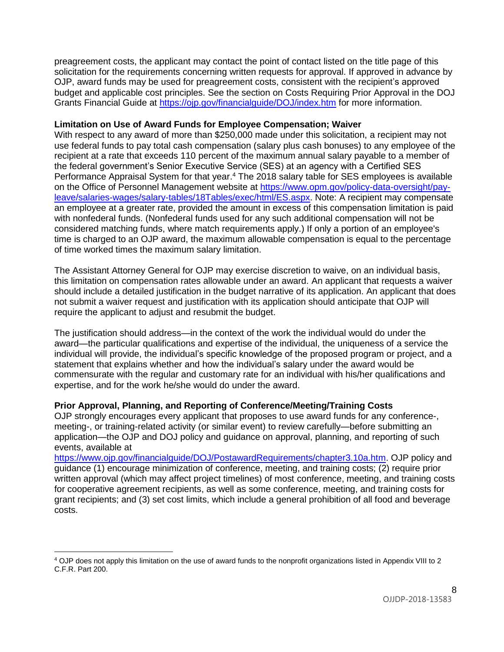preagreement costs, the applicant may contact the point of contact listed on the title page of this solicitation for the requirements concerning written requests for approval. If approved in advance by OJP, award funds may be used for preagreement costs, consistent with the recipient's approved budget and applicable cost principles. See the section on Costs Requiring Prior Approval in the DOJ Grants Financial Guide at<https://ojp.gov/financialguide/DOJ/index.htm> for more information.

### <span id="page-7-0"></span>**Limitation on Use of Award Funds for Employee Compensation; Waiver**

With respect to any award of more than \$250,000 made under this solicitation, a recipient may not use federal funds to pay total cash compensation (salary plus cash bonuses) to any employee of the recipient at a rate that exceeds 110 percent of the maximum annual salary payable to a member of the federal government's Senior Executive Service (SES) at an agency with a Certified SES Performance Appraisal System for that year.<sup>4</sup> The 2018 salary table for SES employees is available on the Office of Personnel Management website at [https://www.opm.gov/policy-data-oversight/pay](https://www.opm.gov/policy-data-oversight/pay-leave/salaries-wages/salary-tables/18Tables/exec/html/ES.aspx)[leave/salaries-wages/salary-tables/18Tables/exec/html/ES.aspx.](https://www.opm.gov/policy-data-oversight/pay-leave/salaries-wages/salary-tables/18Tables/exec/html/ES.aspx) Note: A recipient may compensate an employee at a greater rate, provided the amount in excess of this compensation limitation is paid with nonfederal funds. (Nonfederal funds used for any such additional compensation will not be considered matching funds, where match requirements apply.) If only a portion of an employee's time is charged to an OJP award, the maximum allowable compensation is equal to the percentage of time worked times the maximum salary limitation.

The Assistant Attorney General for OJP may exercise discretion to waive, on an individual basis, this limitation on compensation rates allowable under an award. An applicant that requests a waiver should include a detailed justification in the budget narrative of its application. An applicant that does not submit a waiver request and justification with its application should anticipate that OJP will require the applicant to adjust and resubmit the budget.

The justification should address—in the context of the work the individual would do under the award—the particular qualifications and expertise of the individual, the uniqueness of a service the individual will provide, the individual's specific knowledge of the proposed program or project, and a statement that explains whether and how the individual's salary under the award would be commensurate with the regular and customary rate for an individual with his/her qualifications and expertise, and for the work he/she would do under the award.

### <span id="page-7-1"></span>**Prior Approval, Planning, and Reporting of Conference/Meeting/Training Costs**

OJP strongly encourages every applicant that proposes to use award funds for any conference-, meeting-, or training-related activity (or similar event) to review carefully—before submitting an application—the OJP and DOJ policy and guidance on approval, planning, and reporting of such events, available at

[https://www.ojp.gov/financialguide/DOJ/PostawardRequirements/chapter3.10a.htm.](https://www.ojp.gov/financialguide/DOJ/PostawardRequirements/chapter3.10a.htm) OJP policy and guidance (1) encourage minimization of conference, meeting, and training costs; (2) require prior written approval (which may affect project timelines) of most conference, meeting, and training costs for cooperative agreement recipients, as well as some conference, meeting, and training costs for grant recipients; and (3) set cost limits, which include a general prohibition of all food and beverage costs.

<span id="page-7-2"></span><sup>4</sup> OJP does not apply this limitation on the use of award funds to the nonprofit organizations listed in Appendix VIII to 2 C.F.R. Part 200.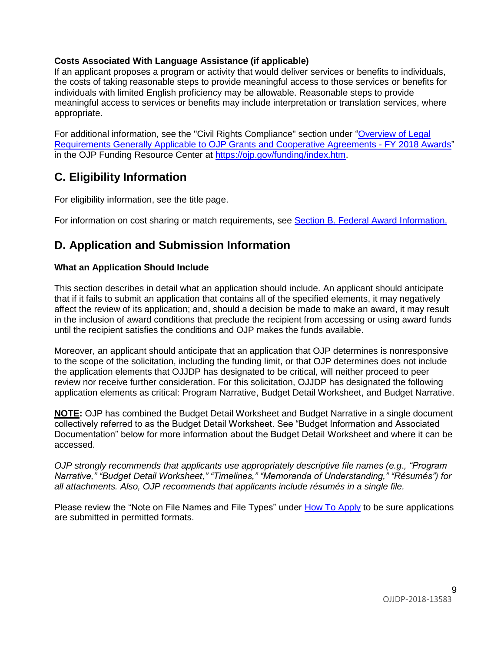### **Costs Associated With Language Assistance (if applicable)**

If an applicant proposes a program or activity that would deliver services or benefits to individuals, the costs of taking reasonable steps to provide meaningful access to those services or benefits for individuals with limited English proficiency may be allowable. Reasonable steps to provide meaningful access to services or benefits may include interpretation or translation services, where appropriate.

For additional information, see the "Civil Rights Compliance" section under ["Overview of Legal](https://ojp.gov/funding/Explore/LegalOverview/index.htm)  [Requirements Generally Applicable to OJP Grants and Cooperative Agreements -](https://ojp.gov/funding/Explore/LegalOverview/index.htm) FY 2018 Awards" in the OJP Funding Resource Center at<https://ojp.gov/funding/index.htm>.

## <span id="page-8-1"></span>**C. Eligibility Information**

For eligibility information, see the title page.

<span id="page-8-0"></span>For information on cost sharing or match requirements, see Section [B. Federal Award Information.](#page-5-0)

## <span id="page-8-2"></span>**D. Application and Submission Information**

### <span id="page-8-3"></span>**What an Application Should Include**

This section describes in detail what an application should include. An applicant should anticipate that if it fails to submit an application that contains all of the specified elements, it may negatively affect the review of its application; and, should a decision be made to make an award, it may result in the inclusion of award conditions that preclude the recipient from accessing or using award funds until the recipient satisfies the conditions and OJP makes the funds available.

Moreover, an applicant should anticipate that an application that OJP determines is nonresponsive to the scope of the solicitation, including the funding limit, or that OJP determines does not include the application elements that OJJDP has designated to be critical, will neither proceed to peer review nor receive further consideration. For this solicitation, OJJDP has designated the following application elements as critical: Program Narrative, Budget Detail Worksheet, and Budget Narrative.

**NOTE:** OJP has combined the Budget Detail Worksheet and Budget Narrative in a single document collectively referred to as the Budget Detail Worksheet. See "Budget Information and Associated Documentation" below for more information about the Budget Detail Worksheet and where it can be accessed.

*OJP strongly recommends that applicants use appropriately descriptive file names (e.g*.*, "Program Narrative," "Budget Detail Worksheet," "Timelines," "Memoranda of Understanding," "Résumés") for all attachments. Also, OJP recommends that applicants include résumés in a single file.*

Please review the "Note on File Names and File Types" under [How To Apply](#page-19-0) to be sure applications are submitted in permitted formats.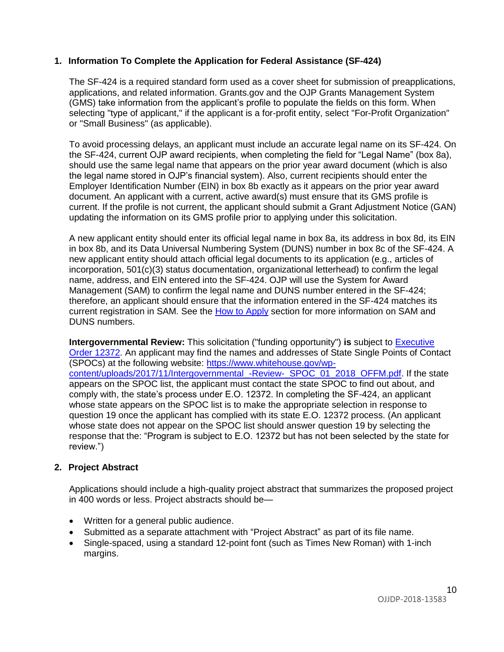### **1. Information To Complete the Application for Federal Assistance (SF-424)**

The SF-424 is a required standard form used as a cover sheet for submission of preapplications, applications, and related information. Grants.gov and the OJP Grants Management System (GMS) take information from the applicant's profile to populate the fields on this form. When selecting "type of applicant," if the applicant is a for-profit entity, select "For-Profit Organization" or "Small Business" (as applicable).

To avoid processing delays, an applicant must include an accurate legal name on its SF-424. On the SF-424, current OJP award recipients, when completing the field for "Legal Name" (box 8a), should use the same legal name that appears on the prior year award document (which is also the legal name stored in OJP's financial system). Also, current recipients should enter the Employer Identification Number (EIN) in box 8b exactly as it appears on the prior year award document. An applicant with a current, active award(s) must ensure that its GMS profile is current. If the profile is not current, the applicant should submit a Grant Adjustment Notice (GAN) updating the information on its GMS profile prior to applying under this solicitation.

A new applicant entity should enter its official legal name in box 8a, its address in box 8d, its EIN in box 8b, and its Data Universal Numbering System (DUNS) number in box 8c of the SF-424. A new applicant entity should attach official legal documents to its application (e.g., articles of incorporation, 501(c)(3) status documentation, organizational letterhead) to confirm the legal name, address, and EIN entered into the SF-424. OJP will use the System for Award Management (SAM) to confirm the legal name and DUNS number entered in the SF-424; therefore, an applicant should ensure that the information entered in the SF-424 matches its current registration in SAM. See the [How to Apply](#page-19-0) section for more information on SAM and DUNS numbers.

**Intergovernmental Review:** This solicitation ("funding opportunity") **is** subject to [Executive](https://www.archives.gov/federal-register/codification/executive-order/12372.html)  [Order 12372.](https://www.archives.gov/federal-register/codification/executive-order/12372.html) An applicant may find the names and addresses of State Single Points of Contact (SPOCs) at the following website: [https://www.whitehouse.gov/wp](https://www.whitehouse.gov/wp-content/uploads/2017/11/Intergovernmental_-Review-_SPOC_01_2018_OFFM.pdf)content/uploads/2017/11/Intergovernmental -Review-\_SPOC\_01\_2018\_OFFM.pdf. If the state appears on the SPOC list, the applicant must contact the state SPOC to find out about, and comply with, the state's process under E.O. 12372. In completing the SF-424, an applicant whose state appears on the SPOC list is to make the appropriate selection in response to question 19 once the applicant has complied with its state E.O. 12372 process. (An applicant whose state does not appear on the SPOC list should answer question 19 by selecting the response that the: "Program is subject to E.O. 12372 but has not been selected by the state for review.")

### **2. Project Abstract**

Applications should include a high-quality project abstract that summarizes the proposed project in 400 words or less. Project abstracts should be—

- Written for a general public audience.
- Submitted as a separate attachment with "Project Abstract" as part of its file name.
- Single-spaced, using a standard 12-point font (such as Times New Roman) with 1-inch margins.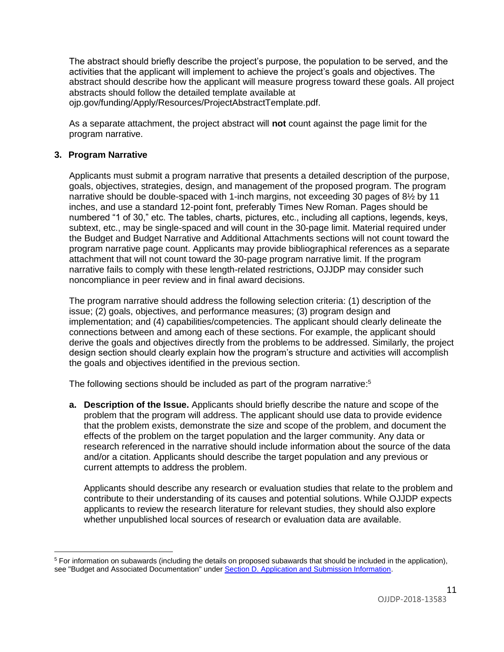The abstract should briefly describe the project's purpose, the population to be served, and the activities that the applicant will implement to achieve the project's goals and objectives. The abstract should describe how the applicant will measure progress toward these goals. All project abstracts should follow the detailed template available at

ojp.gov/funding/Apply/Resources/ProjectAbstractTemplate.pdf.

As a separate attachment, the project abstract will **not** count against the page limit for the program narrative.

### **3. Program Narrative**

Applicants must submit a program narrative that presents a detailed description of the purpose, goals, objectives, strategies, design, and management of the proposed program. The program narrative should be double-spaced with 1-inch margins, not exceeding 30 pages of 8½ by 11 inches, and use a standard 12-point font, preferably Times New Roman. Pages should be numbered "1 of 30," etc. The tables, charts, pictures, etc., including all captions, legends, keys, subtext, etc., may be single-spaced and will count in the 30-page limit. Material required under the Budget and Budget Narrative and Additional Attachments sections will not count toward the program narrative page count. Applicants may provide bibliographical references as a separate attachment that will not count toward the 30-page program narrative limit. If the program narrative fails to comply with these length-related restrictions, OJJDP may consider such noncompliance in peer review and in final award decisions.

The program narrative should address the following selection criteria: (1) description of the issue; (2) goals, objectives, and performance measures; (3) program design and implementation; and (4) capabilities/competencies. The applicant should clearly delineate the connections between and among each of these sections. For example, the applicant should derive the goals and objectives directly from the problems to be addressed. Similarly, the project design section should clearly explain how the program's structure and activities will accomplish the goals and objectives identified in the previous section.

The following sections should be included as part of the program narrative:<sup>5</sup>

**a. Description of the Issue.** Applicants should briefly describe the nature and scope of the problem that the program will address. The applicant should use data to provide evidence that the problem exists, demonstrate the size and scope of the problem, and document the effects of the problem on the target population and the larger community. Any data or research referenced in the narrative should include information about the source of the data and/or a citation. Applicants should describe the target population and any previous or current attempts to address the problem.

Applicants should describe any research or evaluation studies that relate to the problem and contribute to their understanding of its causes and potential solutions. While OJJDP expects applicants to review the research literature for relevant studies, they should also explore whether unpublished local sources of research or evaluation data are available.

<sup>5</sup> For information on subawards (including the details on proposed subawards that should be included in the application), see "Budget and Associated Documentation" under [Section D. Application and Submission Information](#page-8-0).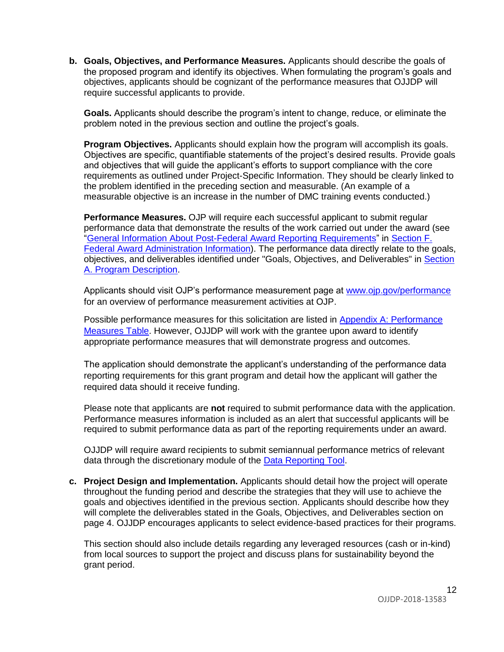**b. Goals, Objectives, and Performance Measures.** Applicants should describe the goals of the proposed program and identify its objectives. When formulating the program's goals and objectives, applicants should be cognizant of the performance measures that OJJDP will require successful applicants to provide.

**Goals.** Applicants should describe the program's intent to change, reduce, or eliminate the problem noted in the previous section and outline the project's goals.

**Program Objectives.** Applicants should explain how the program will accomplish its goals. Objectives are specific, quantifiable statements of the project's desired results. Provide goals and objectives that will guide the applicant's efforts to support compliance with the core requirements as outlined under Project-Specific Information. They should be clearly linked to the problem identified in the preceding section and measurable. (An example of a measurable objective is an increase in the number of DMC training events conducted.)

**Performance Measures.** OJP will require each successful applicant to submit regular performance data that demonstrate the results of the work carried out under the award (see ["General Information About Post-Federal Award Reporting Requirements"](#page-27-0) in [Section F.](#page-25-0)  [Federal Award Administration Information\)](#page-25-0). The performance data directly relate to the goals, objectives, and deliverables identified under "Goals, Objectives, and Deliverables" in [Section](#page-3-0)  [A. Program Description](#page-3-0).

Applicants should visit OJP's performance measurement page at [www.ojp.gov/performance](https://www.ojp.gov/performance) for an overview of performance measurement activities at OJP.

Possible performance measures for this solicitation are listed in [Appendix A: Performance](#page-29-0)  [Measures Table.](#page-29-0) However, OJJDP will work with the grantee upon award to identify appropriate performance measures that will demonstrate progress and outcomes.

The application should demonstrate the applicant's understanding of the performance data reporting requirements for this grant program and detail how the applicant will gather the required data should it receive funding.

Please note that applicants are **not** required to submit performance data with the application. Performance measures information is included as an alert that successful applicants will be required to submit performance data as part of the reporting requirements under an award.

OJJDP will require award recipients to submit semiannual performance metrics of relevant data through the discretionary module of the [Data Reporting Tool](https://www.ojjdp-dctat.org/).

**c. Project Design and Implementation.** Applicants should detail how the project will operate throughout the funding period and describe the strategies that they will use to achieve the goals and objectives identified in the previous section. Applicants should describe how they will complete the deliverables stated in the Goals, Objectives, and Deliverables section on page 4. OJJDP encourages applicants to select evidence-based practices for their programs.

This section should also include details regarding any leveraged resources (cash or in-kind) from local sources to support the project and discuss plans for sustainability beyond the grant period.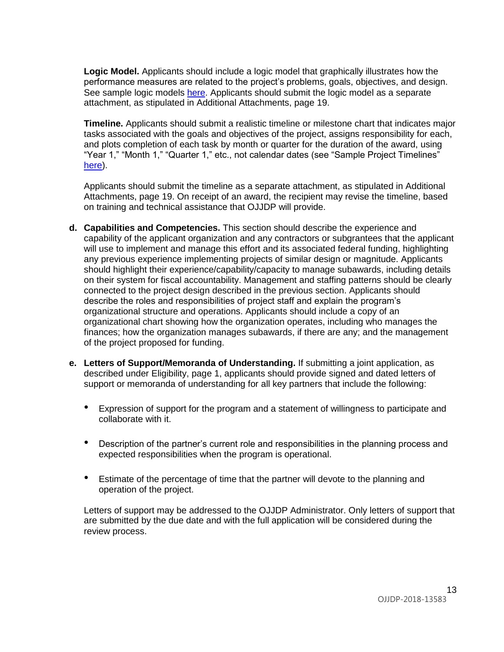**Logic Model.** Applicants should include a logic model that graphically illustrates how the performance measures are related to the project's problems, goals, objectives, and design. See sample logic models [here.](https://www.ojjdp.gov/grantees/pm/logic_models.html) Applicants should submit the logic model as a separate attachment, as stipulated in Additional Attachments, page 19.

**Timeline.** Applicants should submit a realistic timeline or milestone chart that indicates major tasks associated with the goals and objectives of the project, assigns responsibility for each, and plots completion of each task by month or quarter for the duration of the award, using "Year 1," "Month 1," "Quarter 1," etc., not calendar dates (see "Sample Project Timelines" [here](https://www.ojjdp.gov/grantees/timelines.html)).

Applicants should submit the timeline as a separate attachment, as stipulated in Additional Attachments, page 19. On receipt of an award, the recipient may revise the timeline, based on training and technical assistance that OJJDP will provide.

- **d. Capabilities and Competencies.** This section should describe the experience and capability of the applicant organization and any contractors or subgrantees that the applicant will use to implement and manage this effort and its associated federal funding, highlighting any previous experience implementing projects of similar design or magnitude. Applicants should highlight their experience/capability/capacity to manage subawards, including details on their system for fiscal accountability. Management and staffing patterns should be clearly connected to the project design described in the previous section. Applicants should describe the roles and responsibilities of project staff and explain the program's organizational structure and operations. Applicants should include a copy of an organizational chart showing how the organization operates, including who manages the finances; how the organization manages subawards, if there are any; and the management of the project proposed for funding.
- **e. Letters of Support/Memoranda of Understanding.** If submitting a joint application, as described under Eligibility, page 1, applicants should provide signed and dated letters of support or memoranda of understanding for all key partners that include the following:
	- Expression of support for the program and a statement of willingness to participate and collaborate with it.
	- Description of the partner's current role and responsibilities in the planning process and expected responsibilities when the program is operational.
	- Estimate of the percentage of time that the partner will devote to the planning and operation of the project.

Letters of support may be addressed to the OJJDP Administrator. Only letters of support that are submitted by the due date and with the full application will be considered during the review process.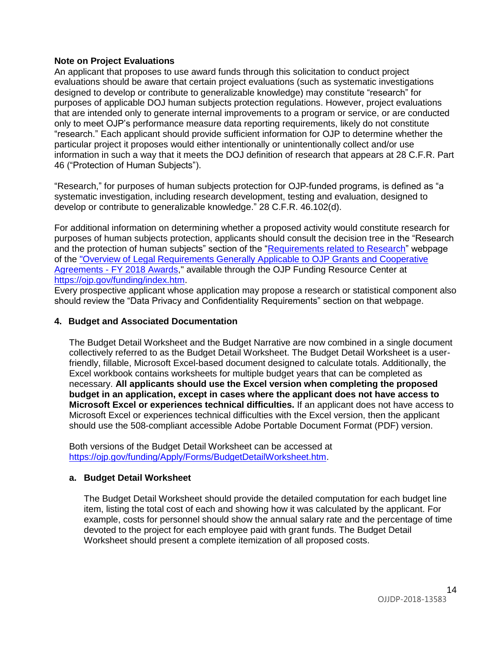### **Note on Project Evaluations**

An applicant that proposes to use award funds through this solicitation to conduct project evaluations should be aware that certain project evaluations (such as systematic investigations designed to develop or contribute to generalizable knowledge) may constitute "research" for purposes of applicable DOJ human subjects protection regulations. However, project evaluations that are intended only to generate internal improvements to a program or service, or are conducted only to meet OJP's performance measure data reporting requirements, likely do not constitute "research." Each applicant should provide sufficient information for OJP to determine whether the particular project it proposes would either intentionally or unintentionally collect and/or use information in such a way that it meets the DOJ definition of research that appears at 28 C.F.R. Part 46 ("Protection of Human Subjects").

"Research," for purposes of human subjects protection for OJP-funded programs, is defined as "a systematic investigation, including research development, testing and evaluation, designed to develop or contribute to generalizable knowledge." 28 C.F.R. 46.102(d).

For additional information on determining whether a proposed activity would constitute research for purposes of human subjects protection, applicants should consult the decision tree in the "Research and the protection of human subjects" section of the ["Requirements related to](https://ojp.gov/funding/Explore/SolicitationRequirements/EvidenceResearchEvaluationRequirements.htm) Research" webpage of the ["Overview of Legal Requirements Generally Applicable to OJP Grants and Cooperative](https://ojp.gov/funding/Explore/LegalOverview/index.htm)  Agreements - [FY 2018 Awards,](https://ojp.gov/funding/Explore/LegalOverview/index.htm)" available through the OJP Funding Resource Center at [https://ojp.gov/funding/index.htm.](https://ojp.gov/funding/index.htm)

Every prospective applicant whose application may propose a research or statistical component also should review the "Data Privacy and Confidentiality Requirements" section on that webpage.

### **4. Budget and Associated Documentation**

The Budget Detail Worksheet and the Budget Narrative are now combined in a single document collectively referred to as the Budget Detail Worksheet. The Budget Detail Worksheet is a userfriendly, fillable, Microsoft Excel-based document designed to calculate totals. Additionally, the Excel workbook contains worksheets for multiple budget years that can be completed as necessary. **All applicants should use the Excel version when completing the proposed budget in an application, except in cases where the applicant does not have access to Microsoft Excel or experiences technical difficulties.** If an applicant does not have access to Microsoft Excel or experiences technical difficulties with the Excel version, then the applicant should use the 508-compliant accessible Adobe Portable Document Format (PDF) version.

Both versions of the Budget Detail Worksheet can be accessed at [https://ojp.gov/funding/Apply/Forms/BudgetDetailWorksheet.htm.](https://ojp.gov/funding/Apply/Forms/BudgetDetailWorksheet.htm)

### **a. Budget Detail Worksheet**

The Budget Detail Worksheet should provide the detailed computation for each budget line item, listing the total cost of each and showing how it was calculated by the applicant. For example, costs for personnel should show the annual salary rate and the percentage of time devoted to the project for each employee paid with grant funds. The Budget Detail Worksheet should present a complete itemization of all proposed costs.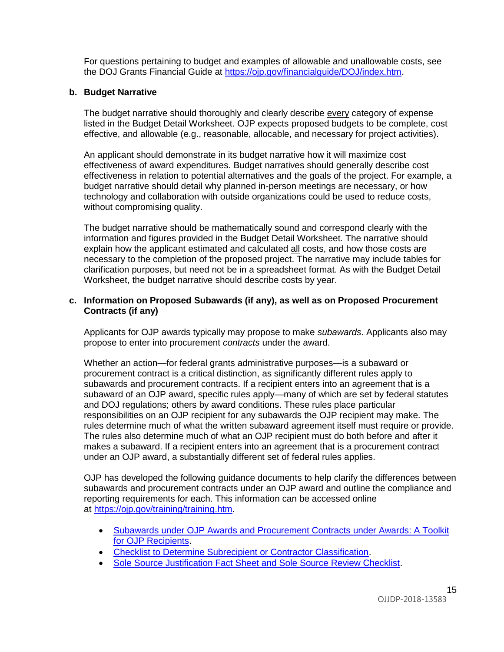For questions pertaining to budget and examples of allowable and unallowable costs, see the DOJ Grants Financial Guide at<https://ojp.gov/financialguide/DOJ/index.htm>.

#### **b. Budget Narrative**

The budget narrative should thoroughly and clearly describe every category of expense listed in the Budget Detail Worksheet. OJP expects proposed budgets to be complete, cost effective, and allowable (e.g., reasonable, allocable, and necessary for project activities).

An applicant should demonstrate in its budget narrative how it will maximize cost effectiveness of award expenditures. Budget narratives should generally describe cost effectiveness in relation to potential alternatives and the goals of the project. For example, a budget narrative should detail why planned in-person meetings are necessary, or how technology and collaboration with outside organizations could be used to reduce costs, without compromising quality.

The budget narrative should be mathematically sound and correspond clearly with the information and figures provided in the Budget Detail Worksheet. The narrative should explain how the applicant estimated and calculated all costs, and how those costs are necessary to the completion of the proposed project. The narrative may include tables for clarification purposes, but need not be in a spreadsheet format. As with the Budget Detail Worksheet, the budget narrative should describe costs by year.

### **c. Information on Proposed Subawards (if any), as well as on Proposed Procurement Contracts (if any)**

Applicants for OJP awards typically may propose to make *subawards*. Applicants also may propose to enter into procurement *contracts* under the award.

Whether an action—for federal grants administrative purposes—is a subaward or procurement contract is a critical distinction, as significantly different rules apply to subawards and procurement contracts. If a recipient enters into an agreement that is a subaward of an OJP award, specific rules apply—many of which are set by federal statutes and DOJ regulations; others by award conditions. These rules place particular responsibilities on an OJP recipient for any subawards the OJP recipient may make. The rules determine much of what the written subaward agreement itself must require or provide. The rules also determine much of what an OJP recipient must do both before and after it makes a subaward. If a recipient enters into an agreement that is a procurement contract under an OJP award, a substantially different set of federal rules applies.

OJP has developed the following guidance documents to help clarify the differences between subawards and procurement contracts under an OJP award and outline the compliance and reporting requirements for each. This information can be accessed online at [https://ojp.gov/training/training.htm](http://links.govdelivery.com/track?type=click&enid=ZWFzPTEmbXNpZD0mYXVpZD0mbWFpbGluZ2lkPTIwMTcwNzE3Ljc1OTkyNjAxJm1lc3NhZ2VpZD1NREItUFJELUJVTC0yMDE3MDcxNy43NTk5MjYwMSZkYXRhYmFzZWlkPTEwMDEmc2VyaWFsPTE3MDc5NDk3JmVtYWlsaWQ9bHVjeS5tdW5nbGVAb2pwLnVzZG9qLmdvdiZ1c2VyaWQ9bHVjeS5tdW5nbGVAb2pwLnVzZG9qLmdvdiZ0YXJnZXRpZD0mZmw9Jm12aWQ9JmV4dHJhPSYmJg==&&&100&&&https://ojp.gov/training/training.htm).

- [Subawards under OJP Awards and Procurement Contracts under Awards: A Toolkit](http://links.govdelivery.com/track?type=click&enid=ZWFzPTEmbXNpZD0mYXVpZD0mbWFpbGluZ2lkPTIwMTcwNzE3Ljc1OTkyNjAxJm1lc3NhZ2VpZD1NREItUFJELUJVTC0yMDE3MDcxNy43NTk5MjYwMSZkYXRhYmFzZWlkPTEwMDEmc2VyaWFsPTE3MDc5NDk3JmVtYWlsaWQ9bHVjeS5tdW5nbGVAb2pwLnVzZG9qLmdvdiZ1c2VyaWQ9bHVjeS5tdW5nbGVAb2pwLnVzZG9qLmdvdiZ0YXJnZXRpZD0mZmw9Jm12aWQ9JmV4dHJhPSYmJg==&&&101&&&https://ojp.gov/training/pdfs/Subaward-Procure-Toolkit-D.pdf)  [for OJP Recipients.](http://links.govdelivery.com/track?type=click&enid=ZWFzPTEmbXNpZD0mYXVpZD0mbWFpbGluZ2lkPTIwMTcwNzE3Ljc1OTkyNjAxJm1lc3NhZ2VpZD1NREItUFJELUJVTC0yMDE3MDcxNy43NTk5MjYwMSZkYXRhYmFzZWlkPTEwMDEmc2VyaWFsPTE3MDc5NDk3JmVtYWlsaWQ9bHVjeS5tdW5nbGVAb2pwLnVzZG9qLmdvdiZ1c2VyaWQ9bHVjeS5tdW5nbGVAb2pwLnVzZG9qLmdvdiZ0YXJnZXRpZD0mZmw9Jm12aWQ9JmV4dHJhPSYmJg==&&&101&&&https://ojp.gov/training/pdfs/Subaward-Procure-Toolkit-D.pdf)
- [Checklist to Determine Subrecipient or Contractor Classification.](http://links.govdelivery.com/track?type=click&enid=ZWFzPTEmbXNpZD0mYXVpZD0mbWFpbGluZ2lkPTIwMTcwNzE3Ljc1OTkyNjAxJm1lc3NhZ2VpZD1NREItUFJELUJVTC0yMDE3MDcxNy43NTk5MjYwMSZkYXRhYmFzZWlkPTEwMDEmc2VyaWFsPTE3MDc5NDk3JmVtYWlsaWQ9bHVjeS5tdW5nbGVAb2pwLnVzZG9qLmdvdiZ1c2VyaWQ9bHVjeS5tdW5nbGVAb2pwLnVzZG9qLmdvdiZ0YXJnZXRpZD0mZmw9Jm12aWQ9JmV4dHJhPSYmJg==&&&102&&&https://ojp.gov/training/pdfs/Subrecipient-Procure-cklist-B.pdf)
- [Sole Source Justification Fact Sheet and Sole Source Review Checklist.](http://links.govdelivery.com/track?type=click&enid=ZWFzPTEmbXNpZD0mYXVpZD0mbWFpbGluZ2lkPTIwMTcwNzE3Ljc1OTkyNjAxJm1lc3NhZ2VpZD1NREItUFJELUJVTC0yMDE3MDcxNy43NTk5MjYwMSZkYXRhYmFzZWlkPTEwMDEmc2VyaWFsPTE3MDc5NDk3JmVtYWlsaWQ9bHVjeS5tdW5nbGVAb2pwLnVzZG9qLmdvdiZ1c2VyaWQ9bHVjeS5tdW5nbGVAb2pwLnVzZG9qLmdvdiZ0YXJnZXRpZD0mZmw9Jm12aWQ9JmV4dHJhPSYmJg==&&&103&&&https://ojp.gov/training/pdfs/Sole-Source-FactSheet-C.pdf)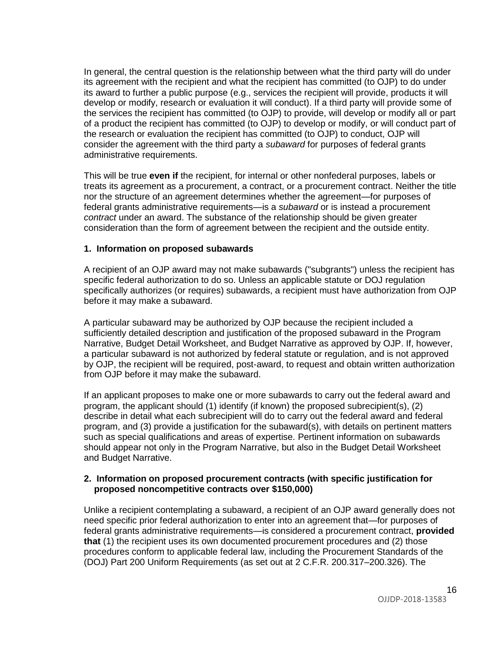In general, the central question is the relationship between what the third party will do under its agreement with the recipient and what the recipient has committed (to OJP) to do under its award to further a public purpose (e.g., services the recipient will provide, products it will develop or modify, research or evaluation it will conduct). If a third party will provide some of the services the recipient has committed (to OJP) to provide, will develop or modify all or part of a product the recipient has committed (to OJP) to develop or modify, or will conduct part of the research or evaluation the recipient has committed (to OJP) to conduct, OJP will consider the agreement with the third party a *subaward* for purposes of federal grants administrative requirements.

This will be true **even if** the recipient, for internal or other nonfederal purposes, labels or treats its agreement as a procurement, a contract, or a procurement contract. Neither the title nor the structure of an agreement determines whether the agreement—for purposes of federal grants administrative requirements—is a *subaward* or is instead a procurement *contract* under an award. The substance of the relationship should be given greater consideration than the form of agreement between the recipient and the outside entity.

#### **1. Information on proposed subawards**

A recipient of an OJP award may not make subawards ("subgrants") unless the recipient has specific federal authorization to do so. Unless an applicable statute or DOJ regulation specifically authorizes (or requires) subawards, a recipient must have authorization from OJP before it may make a subaward.

A particular subaward may be authorized by OJP because the recipient included a sufficiently detailed description and justification of the proposed subaward in the Program Narrative, Budget Detail Worksheet, and Budget Narrative as approved by OJP. If, however, a particular subaward is not authorized by federal statute or regulation, and is not approved by OJP, the recipient will be required, post-award, to request and obtain written authorization from OJP before it may make the subaward.

If an applicant proposes to make one or more subawards to carry out the federal award and program, the applicant should (1) identify (if known) the proposed subrecipient(s), (2) describe in detail what each subrecipient will do to carry out the federal award and federal program, and (3) provide a justification for the subaward(s), with details on pertinent matters such as special qualifications and areas of expertise. Pertinent information on subawards should appear not only in the Program Narrative, but also in the Budget Detail Worksheet and Budget Narrative.

#### **2. Information on proposed procurement contracts (with specific justification for proposed noncompetitive contracts over \$150,000)**

Unlike a recipient contemplating a subaward, a recipient of an OJP award generally does not need specific prior federal authorization to enter into an agreement that—for purposes of federal grants administrative requirements—is considered a procurement contract, **provided that** (1) the recipient uses its own documented procurement procedures and (2) those procedures conform to applicable federal law, including the Procurement Standards of the (DOJ) Part 200 Uniform Requirements (as set out at 2 C.F.R. 200.317–200.326). The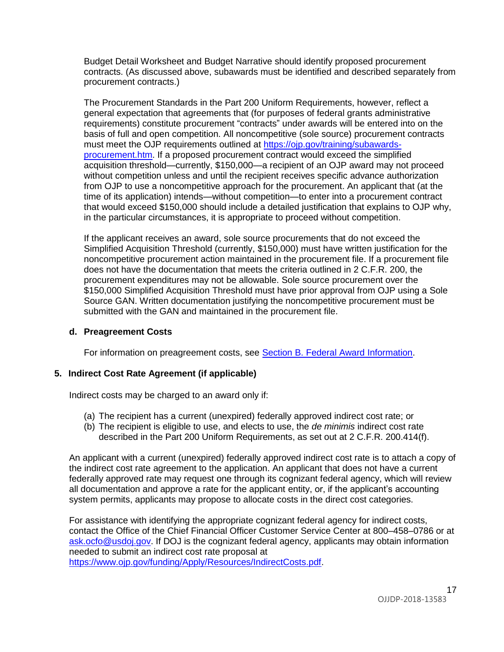Budget Detail Worksheet and Budget Narrative should identify proposed procurement contracts. (As discussed above, subawards must be identified and described separately from procurement contracts.)

The Procurement Standards in the Part 200 Uniform Requirements, however, reflect a general expectation that agreements that (for purposes of federal grants administrative requirements) constitute procurement "contracts" under awards will be entered into on the basis of full and open competition. All noncompetitive (sole source) procurement contracts must meet the OJP requirements outlined at [https://ojp.gov/training/subawards](https://ojp.gov/training/subawards-procurement.htm)[procurement.htm.](https://ojp.gov/training/subawards-procurement.htm) If a proposed procurement contract would exceed the simplified acquisition threshold—currently, \$150,000—a recipient of an OJP award may not proceed without competition unless and until the recipient receives specific advance authorization from OJP to use a noncompetitive approach for the procurement. An applicant that (at the time of its application) intends—without competition—to enter into a procurement contract that would exceed \$150,000 should include a detailed justification that explains to OJP why, in the particular circumstances, it is appropriate to proceed without competition.

If the applicant receives an award, sole source procurements that do not exceed the Simplified Acquisition Threshold (currently, \$150,000) must have written justification for the noncompetitive procurement action maintained in the procurement file. If a procurement file does not have the documentation that meets the criteria outlined in 2 C.F.R. 200, the procurement expenditures may not be allowable. Sole source procurement over the \$150,000 Simplified Acquisition Threshold must have prior approval from OJP using a Sole Source GAN. Written documentation justifying the noncompetitive procurement must be submitted with the GAN and maintained in the procurement file.

### **d. Preagreement Costs**

For information on preagreement costs, see **Section B. Federal Award Information**.

### **5. Indirect Cost Rate Agreement (if applicable)**

Indirect costs may be charged to an award only if:

- (a) The recipient has a current (unexpired) federally approved indirect cost rate; or
- (b) The recipient is eligible to use, and elects to use, the *de minimis* indirect cost rate described in the Part 200 Uniform Requirements, as set out at 2 C.F.R. 200.414(f).

An applicant with a current (unexpired) federally approved indirect cost rate is to attach a copy of the indirect cost rate agreement to the application. An applicant that does not have a current federally approved rate may request one through its cognizant federal agency, which will review all documentation and approve a rate for the applicant entity, or, if the applicant's accounting system permits, applicants may propose to allocate costs in the direct cost categories.

For assistance with identifying the appropriate cognizant federal agency for indirect costs, contact the Office of the Chief Financial Officer Customer Service Center at 800–458–0786 or at [ask.ocfo@usdoj.gov.](mailto:ask.ocfo@usdoj.gov) If DOJ is the cognizant federal agency, applicants may obtain information needed to submit an indirect cost rate proposal at [https://www.ojp.gov/funding/Apply/Resources/IndirectCosts.pdf.](https://www.ojp.gov/funding/Apply/Resources/IndirectCosts.pdf)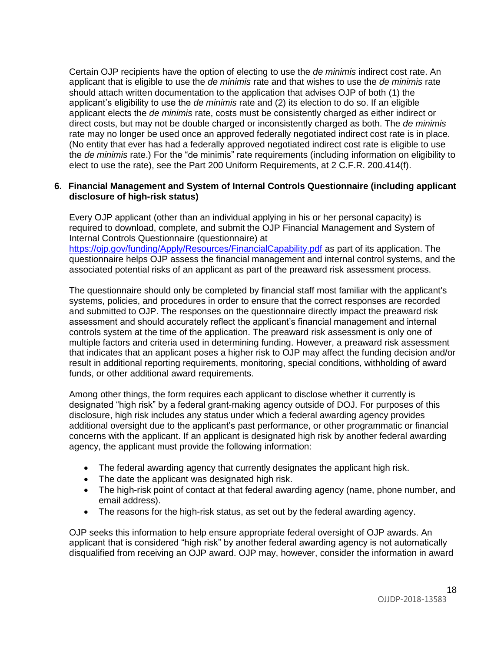Certain OJP recipients have the option of electing to use the *de minimis* indirect cost rate. An applicant that is eligible to use the *de minimis* rate and that wishes to use the *de minimis* rate should attach written documentation to the application that advises OJP of both (1) the applicant's eligibility to use the *de minimis* rate and (2) its election to do so. If an eligible applicant elects the *de minimis* rate, costs must be consistently charged as either indirect or direct costs, but may not be double charged or inconsistently charged as both. The *de minimis* rate may no longer be used once an approved federally negotiated indirect cost rate is in place. (No entity that ever has had a federally approved negotiated indirect cost rate is eligible to use the *de minimis* rate.) For the "de minimis" rate requirements (including information on eligibility to elect to use the rate), see the Part 200 Uniform Requirements, at 2 C.F.R. 200.414(f).

### **6. Financial Management and System of Internal Controls Questionnaire (including applicant disclosure of high-risk status)**

Every OJP applicant (other than an individual applying in his or her personal capacity) is required to download, complete, and submit the OJP Financial Management and System of Internal Controls Questionnaire (questionnaire) at <https://ojp.gov/funding/Apply/Resources/FinancialCapability.pdf> as part of its application. The questionnaire helps OJP assess the financial management and internal control systems, and the associated potential risks of an applicant as part of the preaward risk assessment process.

The questionnaire should only be completed by financial staff most familiar with the applicant's systems, policies, and procedures in order to ensure that the correct responses are recorded and submitted to OJP. The responses on the questionnaire directly impact the preaward risk assessment and should accurately reflect the applicant's financial management and internal controls system at the time of the application. The preaward risk assessment is only one of multiple factors and criteria used in determining funding. However, a preaward risk assessment that indicates that an applicant poses a higher risk to OJP may affect the funding decision and/or result in additional reporting requirements, monitoring, special conditions, withholding of award funds, or other additional award requirements.

Among other things, the form requires each applicant to disclose whether it currently is designated "high risk" by a federal grant-making agency outside of DOJ. For purposes of this disclosure, high risk includes any status under which a federal awarding agency provides additional oversight due to the applicant's past performance, or other programmatic or financial concerns with the applicant. If an applicant is designated high risk by another federal awarding agency, the applicant must provide the following information:

- The federal awarding agency that currently designates the applicant high risk.
- The date the applicant was designated high risk.
- The high-risk point of contact at that federal awarding agency (name, phone number, and email address).
- The reasons for the high-risk status, as set out by the federal awarding agency.

OJP seeks this information to help ensure appropriate federal oversight of OJP awards. An applicant that is considered "high risk" by another federal awarding agency is not automatically disqualified from receiving an OJP award. OJP may, however, consider the information in award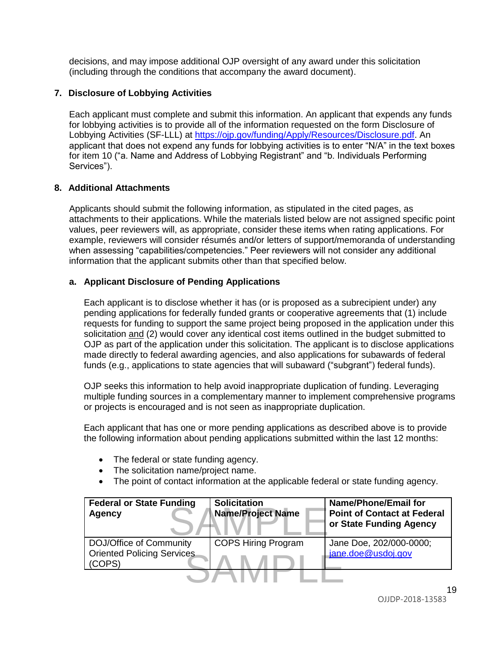decisions, and may impose additional OJP oversight of any award under this solicitation (including through the conditions that accompany the award document).

### **7. Disclosure of Lobbying Activities**

Each applicant must complete and submit this information. An applicant that expends any funds for lobbying activities is to provide all of the information requested on the form Disclosure of Lobbying Activities (SF-LLL) at [https://ojp.gov/funding/Apply/Resources/Disclosure.pdf.](https://ojp.gov/funding/Apply/Resources/Disclosure.pdf) An applicant that does not expend any funds for lobbying activities is to enter "N/A" in the text boxes for item 10 ("a. Name and Address of Lobbying Registrant" and "b. Individuals Performing Services").

### **8. Additional Attachments**

Applicants should submit the following information, as stipulated in the cited pages, as attachments to their applications. While the materials listed below are not assigned specific point values, peer reviewers will, as appropriate, consider these items when rating applications. For example, reviewers will consider résumés and/or letters of support/memoranda of understanding when assessing "capabilities/competencies." Peer reviewers will not consider any additional information that the applicant submits other than that specified below.

### **a. Applicant Disclosure of Pending Applications**

Each applicant is to disclose whether it has (or is proposed as a subrecipient under) any pending applications for federally funded grants or cooperative agreements that (1) include requests for funding to support the same project being proposed in the application under this solicitation and (2) would cover any identical cost items outlined in the budget submitted to OJP as part of the application under this solicitation. The applicant is to disclose applications made directly to federal awarding agencies, and also applications for subawards of federal funds (e.g., applications to state agencies that will subaward ("subgrant") federal funds).

OJP seeks this information to help avoid inappropriate duplication of funding. Leveraging multiple funding sources in a complementary manner to implement comprehensive programs or projects is encouraged and is not seen as inappropriate duplication.

Each applicant that has one or more pending applications as described above is to provide the following information about pending applications submitted within the last 12 months:

- The federal or state funding agency.
- The solicitation name/project name.
- The point of contact information at the applicable federal or state funding agency.

| <b>Federal or State Funding</b><br><b>Agency</b>                       | <b>Solicitation</b><br><b>Name/Project Name</b> | <b>Name/Phone/Email for</b><br><b>Point of Contact at Federal</b><br>or State Funding Agency |
|------------------------------------------------------------------------|-------------------------------------------------|----------------------------------------------------------------------------------------------|
| DOJ/Office of Community<br><b>Oriented Policing Services</b><br>(COPS) | <b>COPS Hiring Program</b>                      | Jane Doe, 202/000-0000;<br>jane.doe@usdoj.gov                                                |
|                                                                        |                                                 | $\overline{A}$ (                                                                             |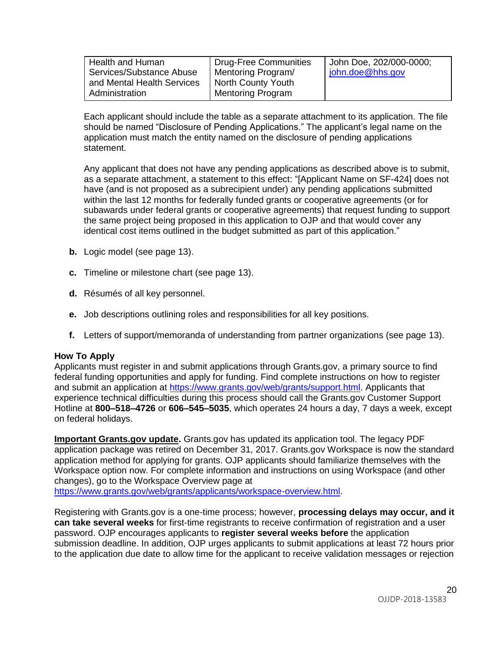| Health and Human           | <b>Drug-Free Communities</b> | John Doe, 202/000-0000; |
|----------------------------|------------------------------|-------------------------|
| Services/Substance Abuse   | Mentoring Program/           | john.doe@hhs.gov        |
| and Mental Health Services | <b>North County Youth</b>    |                         |
| Administration             | <b>Mentoring Program</b>     |                         |

Each applicant should include the table as a separate attachment to its application. The file should be named "Disclosure of Pending Applications." The applicant's legal name on the application must match the entity named on the disclosure of pending applications statement.

Any applicant that does not have any pending applications as described above is to submit, as a separate attachment, a statement to this effect: "[Applicant Name on SF-424] does not have (and is not proposed as a subrecipient under) any pending applications submitted within the last 12 months for federally funded grants or cooperative agreements (or for subawards under federal grants or cooperative agreements) that request funding to support the same project being proposed in this application to OJP and that would cover any identical cost items outlined in the budget submitted as part of this application."

- **b.** Logic model (see page 13).
- **c.** Timeline or milestone chart (see page 13).
- **d.** Résumés of all key personnel.
- **e.** Job descriptions outlining roles and responsibilities for all key positions.
- **f.** Letters of support/memoranda of understanding from partner organizations (see page 13).

#### <span id="page-19-0"></span>**How To Apply**

Applicants must register in and submit applications through Grants.gov, a primary source to find federal funding opportunities and apply for funding. Find complete instructions on how to register and submit an application at [https://www.grants.gov/web/grants/support.html.](https://www.grants.gov/web/grants/support.html) Applicants that experience technical difficulties during this process should call the Grants.gov Customer Support Hotline at **800–518–4726** or **606–545–5035**, which operates 24 hours a day, 7 days a week, except on federal holidays.

**Important Grants.gov update.** Grants.gov has updated its application tool. The legacy PDF application package was retired on December 31, 2017. Grants.gov Workspace is now the standard application method for applying for grants. OJP applicants should familiarize themselves with the Workspace option now. For complete information and instructions on using Workspace (and other changes), go to the Workspace Overview page at [https://www.grants.gov/web/grants/applicants/workspace-overview.html.](https://www.grants.gov/web/grants/applicants/workspace-overview.html)

Registering with Grants.gov is a one-time process; however, **processing delays may occur, and it can take several weeks** for first-time registrants to receive confirmation of registration and a user password. OJP encourages applicants to **register several weeks before** the application submission deadline. In addition, OJP urges applicants to submit applications at least 72 hours prior to the application due date to allow time for the applicant to receive validation messages or rejection